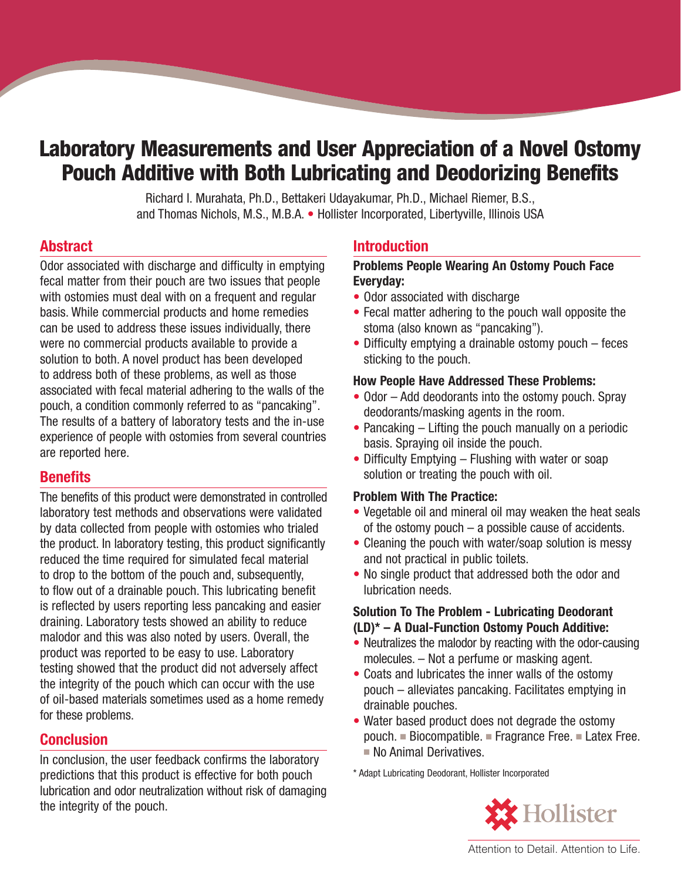# **Laboratory Measurements and User Appreciation of a Novel Ostomy Pouch Additive with Both Lubricating and Deodorizing Benefits**

Richard I. Murahata, Ph.D., Bettakeri Udayakumar, Ph.D., Michael Riemer, B.S., and Thomas Nichols, M.S., M.B.A. • Hollister Incorporated, Libertyville, Illinois USA

#### **Abstract**

Odor associated with discharge and difficulty in emptying fecal matter from their pouch are two issues that people with ostomies must deal with on a frequent and regular basis. While commercial products and home remedies can be used to address these issues individually, there were no commercial products available to provide a solution to both. A novel product has been developed to address both of these problems, as well as those associated with fecal material adhering to the walls of the pouch, a condition commonly referred to as "pancaking". The results of a battery of laboratory tests and the in-use experience of people with ostomies from several countries are reported here.

## **Benefits**

The benefits of this product were demonstrated in controlled laboratory test methods and observations were validated by data collected from people with ostomies who trialed the product. In laboratory testing, this product significantly reduced the time required for simulated fecal material to drop to the bottom of the pouch and, subsequently, to flow out of a drainable pouch. This lubricating benefit is reflected by users reporting less pancaking and easier draining. Laboratory tests showed an ability to reduce malodor and this was also noted by users. Overall, the product was reported to be easy to use. Laboratory testing showed that the product did not adversely affect the integrity of the pouch which can occur with the use of oil-based materials sometimes used as a home remedy for these problems.

## **Conclusion**

In conclusion, the user feedback confirms the laboratory predictions that this product is effective for both pouch lubrication and odor neutralization without risk of damaging the integrity of the pouch.

## **Introduction**

#### **Problems People Wearing An Ostomy Pouch Face Everyday:**

- Odor associated with discharge
- Fecal matter adhering to the pouch wall opposite the stoma (also known as "pancaking").
- Difficulty emptying a drainable ostomy pouch feces sticking to the pouch.

#### **How People Have Addressed These Problems:**

- Odor Add deodorants into the ostomy pouch. Spray deodorants/masking agents in the room.
- Pancaking Lifting the pouch manually on a periodic basis. Spraying oil inside the pouch.
- Difficulty Emptying Flushing with water or soap solution or treating the pouch with oil.

#### **Problem With The Practice:**

- Vegetable oil and mineral oil may weaken the heat seals of the ostomy pouch – a possible cause of accidents.
- Cleaning the pouch with water/soap solution is messy and not practical in public toilets.
- No single product that addressed both the odor and lubrication needs.

#### **Solution To The Problem - Lubricating Deodorant (LD)\* – A Dual-Function Ostomy Pouch Additive:**

- Neutralizes the malodor by reacting with the odor-causing molecules. – Not a perfume or masking agent.
- Coats and lubricates the inner walls of the ostomy pouch – alleviates pancaking. Facilitates emptying in drainable pouches.
- Water based product does not degrade the ostomy pouch. ■ Biocompatible. ■ Fragrance Free. ■ Latex Free. ■ No Animal Derivatives.

\* Adapt Lubricating Deodorant, Hollister Incorporated



Attention to Detail. Attention to Life.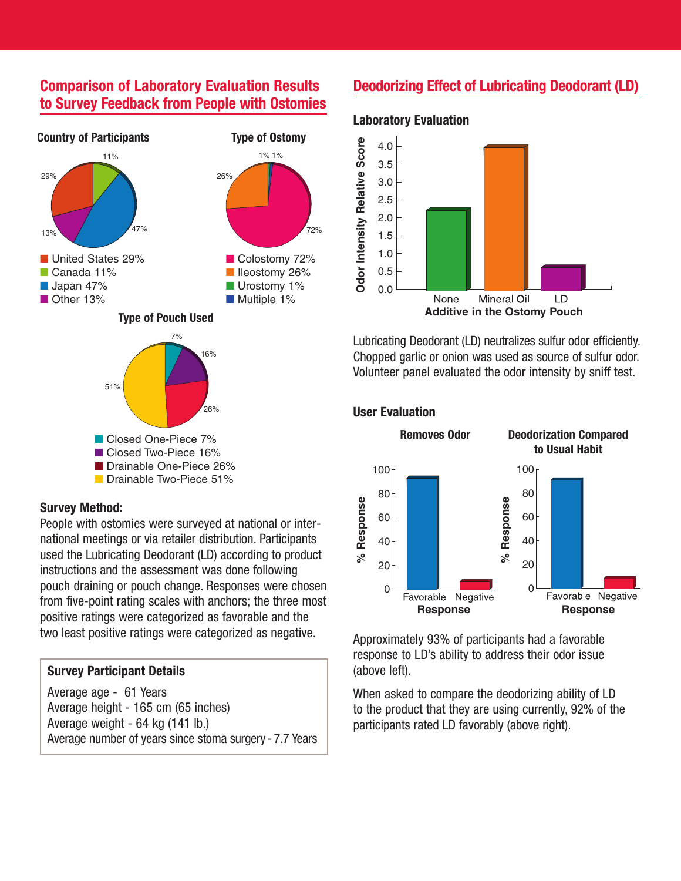## **Comparison of Laboratory Evaluation Results to Survey Feedback from People with Ostomies**



#### ■ Closed Two-Piece 16%

- Drainable One-Piece 26%
- Drainable Two-Piece 51%

#### **Survey Method:**

People with ostomies were surveyed at national or international meetings or via retailer distribution. Participants used the Lubricating Deodorant (LD) according to product instructions and the assessment was done following pouch draining or pouch change. Responses were chosen from five-point rating scales with anchors; the three most positive ratings were categorized as favorable and the two least positive ratings were categorized as negative.

#### **Survey Participant Details**

Average age - 61 Years Average height - 165 cm (65 inches) Average weight - 64 kg (141 lb.) Average number of years since stoma surgery - 7.7 Years

## **Deodorizing Effect of Lubricating Deodorant (LD)**



Lubricating Deodorant (LD) neutralizes sulfur odor efficiently. Chopped garlic or onion was used as source of sulfur odor. Volunteer panel evaluated the odor intensity by sniff test.

#### **User Evaluation**



Approximately 93% of participants had a favorable response to LD's ability to address their odor issue (above left).

When asked to compare the deodorizing ability of LD to the product that they are using currently, 92% of the participants rated LD favorably (above right).

## **Laboratory Evaluation** 5.0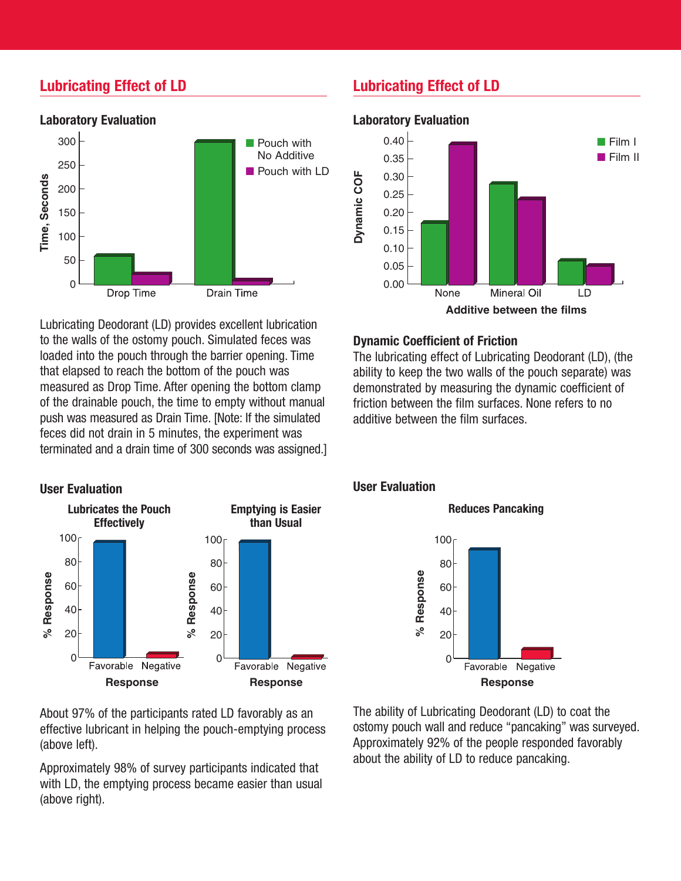## **Lubricating Effect of LD**



Lubricating Deodorant (LD) provides excellent lubrication to the walls of the ostomy pouch. Simulated feces was loaded into the pouch through the barrier opening. Time that elapsed to reach the bottom of the pouch was measured as Drop Time. After opening the bottom clamp of the drainable pouch, the time to empty without manual push was measured as Drain Time. [Note: If the simulated feces did not drain in 5 minutes, the experiment was terminated and a drain time of 300 seconds was assigned.]



About 97% of the participants rated LD favorably as an effective lubricant in helping the pouch-emptying process (above left).

Approximately 98% of survey participants indicated that with LD, the emptying process became easier than usual (above right).

## **Lubricating Effect of LD**



#### **Dynamic Coefficient of Friction**

The lubricating effect of Lubricating Deodorant (LD), (the ability to keep the two walls of the pouch separate) was demonstrated by measuring the dynamic coefficient of friction between the film surfaces. None refers to no additive between the film surfaces.

#### **User Evaluation**



**Reduces Pancaking**

The ability of Lubricating Deodorant (LD) to coat the ostomy pouch wall and reduce "pancaking" was surveyed. Approximately 92% of the people responded favorably about the ability of LD to reduce pancaking.